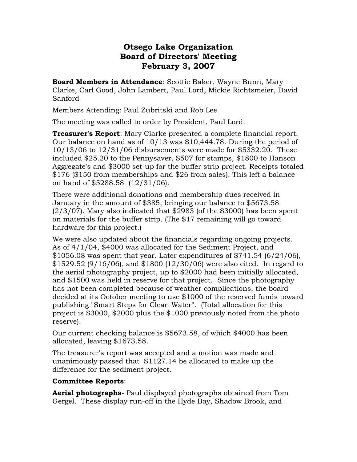## **Otsego Lake Organization Board of Directors' Meeting February 3, 2007**

**Board Members in Attendance**: Scottie Baker, Wayne Bunn, Mary Clarke, Carl Good, John Lambert, Paul Lord, Mickie Richtsmeier, David Sanford

Members Attending: Paul Zubritski and Rob Lee

The meeting was called to order by President, Paul Lord.

**Treasurer's Report**: Mary Clarke presented a complete financial report. Our balance on hand as of 10/13 was \$10,444.78. During the period of 10/13/06 to 12/31/06 disbursements were made for \$5332.20. These included \$25.20 to the Pennysaver, \$507 for stamps, \$1800 to Hanson Aggregate's and \$3000 set-up for the buffer strip project. Receipts totaled \$176 (\$150 from memberships and \$26 from sales). This left a balance on hand of \$5288.58 (12/31/06).

There were additional donations and membership dues received in January in the amount of \$385, bringing our balance to \$5673.58  $(2/3/07)$ . Mary also indicated that \$2983 (of the \$3000) has been spent on materials for the buffer strip. (The \$17 remaining will go toward hardware for this project.)

We were also updated about the financials regarding ongoing projects. As of 4/1/04, \$4000 was allocated for the Sediment Project, and  $$1056.08$  was spent that year. Later expenditures of  $$741.54$  (6/24/06), \$1529.52 (9/16/06), and \$1800 (12/30/06) were also cited. In regard to the aerial photography project, up to \$2000 had been initially allocated, and \$1500 was held in reserve for that project. Since the photography has not been completed because of weather complications, the board decided at its October meeting to use \$1000 of the reserved funds toward publishing "Smart Steps for Clean Water". (Total allocation for this project is \$3000, \$2000 plus the \$1000 previously noted from the photo reserve).

Our current checking balance is \$5673.58, of which \$4000 has been allocated, leaving \$1673.58.

The treasurer's report was accepted and a motion was made and unanimously passed that \$1127.14 be allocated to make up the difference for the sediment project.

## **Committee Reports**:

**Aerial photographs**- Paul displayed photographs obtained from Tom Gergel. These display run-off in the Hyde Bay, Shadow Brook, and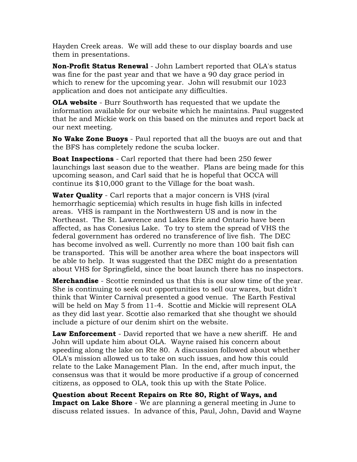Hayden Creek areas. We will add these to our display boards and use them in presentations.

**Non-Profit Status Renewal** - John Lambert reported that OLA's status was fine for the past year and that we have a 90 day grace period in which to renew for the upcoming year. John will resubmit our 1023 application and does not anticipate any difficulties.

**OLA website** - Burr Southworth has requested that we update the information available for our website which he maintains. Paul suggested that he and Mickie work on this based on the minutes and report back at our next meeting.

**No Wake Zone Buoys** - Paul reported that all the buoys are out and that the BFS has completely redone the scuba locker.

**Boat Inspections** - Carl reported that there had been 250 fewer launchings last season due to the weather. Plans are being made for this upcoming season, and Carl said that he is hopeful that OCCA will continue its \$10,000 grant to the Village for the boat wash.

**Water Quality** - Carl reports that a major concern is VHS (viral hemorrhagic septicemia) which results in huge fish kills in infected areas. VHS is rampant in the Northwestern US and is now in the Northeast. The St. Lawrence and Lakes Erie and Ontario have been affected, as has Conesius Lake. To try to stem the spread of VHS the federal government has ordered no transference of live fish. The DEC has become involved as well. Currently no more than 100 bait fish can be transported. This will be another area where the boat inspectors will be able to help. It was suggested that the DEC might do a presentation about VHS for Springfield, since the boat launch there has no inspectors.

**Merchandise** - Scottie reminded us that this is our slow time of the year. She is continuing to seek out opportunities to sell our wares, but didn't think that Winter Carnival presented a good venue. The Earth Festival will be held on May 5 from 11-4. Scottie and Mickie will represent OLA as they did last year. Scottie also remarked that she thought we should include a picture of our denim shirt on the website.

**Law Enforcement** - David reported that we have a new sheriff. He and John will update him about OLA. Wayne raised his concern about speeding along the lake on Rte 80. A discussion followed about whether OLA's mission allowed us to take on such issues, and how this could relate to the Lake Management Plan. In the end, after much input, the consensus was that it would be more productive if a group of concerned citizens, as opposed to OLA, took this up with the State Police.

**Question about Recent Repairs on Rte 80, Right of Ways, and Impact on Lake Shore** - We are planning a general meeting in June to discuss related issues. In advance of this, Paul, John, David and Wayne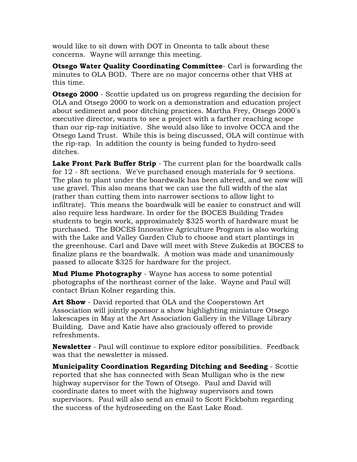would like to sit down with DOT in Oneonta to talk about these concerns. Wayne will arrange this meeting.

**Otsego Water Quality Coordinating Committee**- Carl is forwarding the minutes to OLA BOD. There are no major concerns other that VHS at this time.

**Otsego 2000** - Scottie updated us on progress regarding the decision for OLA and Otsego 2000 to work on a demonstration and education project about sediment and poor ditching practices. Martha Frey, Otsego 2000's executive director, wants to see a project with a farther reaching scope than our rip-rap initiative. She would also like to involve OCCA and the Otsego Land Trust. While this is being discussed, OLA will continue with the rip-rap. In addition the county is being funded to hydro-seed ditches.

Lake Front Park Buffer Strip - The current plan for the boardwalk calls for 12 - 8ft sections. We've purchased enough materials for 9 sections. The plan to plant under the boardwalk has been altered, and we now will use gravel. This also means that we can use the full width of the slat (rather than cutting them into narrower sections to allow light to infiltrate). This means the boardwalk will be easier to construct and will also require less hardware. In order for the BOCES Building Trades students to begin work, approximately \$325 worth of hardware must be purchased. The BOCES Innovative Agriculture Program is also working with the Lake and Valley Garden Club to choose and start plantings in the greenhouse. Carl and Dave will meet with Steve Zukedis at BOCES to finalize plans re the boardwalk. A motion was made and unanimously passed to allocate \$325 for hardware for the project.

**Mud Plume Photography** - Wayne has access to some potential photographs of the northeast corner of the lake. Wayne and Paul will contact Brian Kolner regarding this.

**Art Show** - David reported that OLA and the Cooperstown Art Association will jointly sponsor a show highlighting miniature Otsego lakescapes in May at the Art Association Gallery in the Village Library Building. Dave and Katie have also graciously offered to provide refreshments.

**Newsletter** - Paul will continue to explore editor possibilities. Feedback was that the newsletter is missed.

**Municipality Coordination Regarding Ditching and Seeding** - Scottie reported that she has connected with Sean Mulligan who is the new highway supervisor for the Town of Otsego. Paul and David will coordinate dates to meet with the highway supervisors and town supervisors. Paul will also send an email to Scott Fickbohm regarding the success of the hydroseeding on the East Lake Road.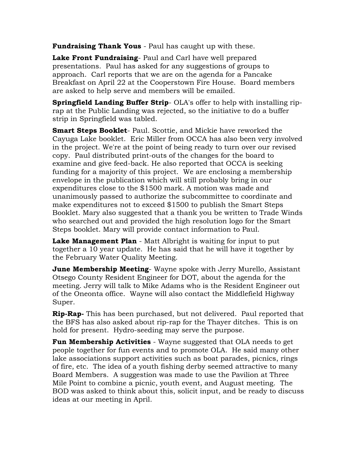**Fundraising Thank Yous** - Paul has caught up with these.

**Lake Front Fundraising**- Paul and Carl have well prepared presentations. Paul has asked for any suggestions of groups to approach. Carl reports that we are on the agenda for a Pancake Breakfast on April 22 at the Cooperstown Fire House. Board members are asked to help serve and members will be emailed.

**Springfield Landing Buffer Strip**- OLA's offer to help with installing riprap at the Public Landing was rejected, so the initiative to do a buffer strip in Springfield was tabled.

**Smart Steps Booklet**- Paul. Scottie, and Mickie have reworked the Cayuga Lake booklet. Eric Miller from OCCA has also been very involved in the project. We're at the point of being ready to turn over our revised copy. Paul distributed print-outs of the changes for the board to examine and give feed-back. He also reported that OCCA is seeking funding for a majority of this project. We are enclosing a membership envelope in the publication which will still probably bring in our expenditures close to the \$1500 mark. A motion was made and unanimously passed to authorize the subcommittee to coordinate and make expenditures not to exceed \$1500 to publish the Smart Steps Booklet. Mary also suggested that a thank you be written to Trade Winds who searched out and provided the high resolution logo for the Smart Steps booklet. Mary will provide contact information to Paul.

**Lake Management Plan** - Matt Albright is waiting for input to put together a 10 year update. He has said that he will have it together by the February Water Quality Meeting.

**June Membership Meeting**- Wayne spoke with Jerry Murello, Assistant Otsego County Resident Engineer for DOT, about the agenda for the meeting. Jerry will talk to Mike Adams who is the Resident Engineer out of the Oneonta office. Wayne will also contact the Middlefield Highway Super.

**Rip-Rap-** This has been purchased, but not delivered. Paul reported that the BFS has also asked about rip-rap for the Thayer ditches. This is on hold for present. Hydro-seeding may serve the purpose.

**Fun Membership Activities** - Wayne suggested that OLA needs to get people together for fun events and to promote OLA. He said many other lake associations support activities such as boat parades, picnics, rings of fire, etc. The idea of a youth fishing derby seemed attractive to many Board Members. A suggestion was made to use the Pavilion at Three Mile Point to combine a picnic, youth event, and August meeting. The BOD was asked to think about this, solicit input, and be ready to discuss ideas at our meeting in April.